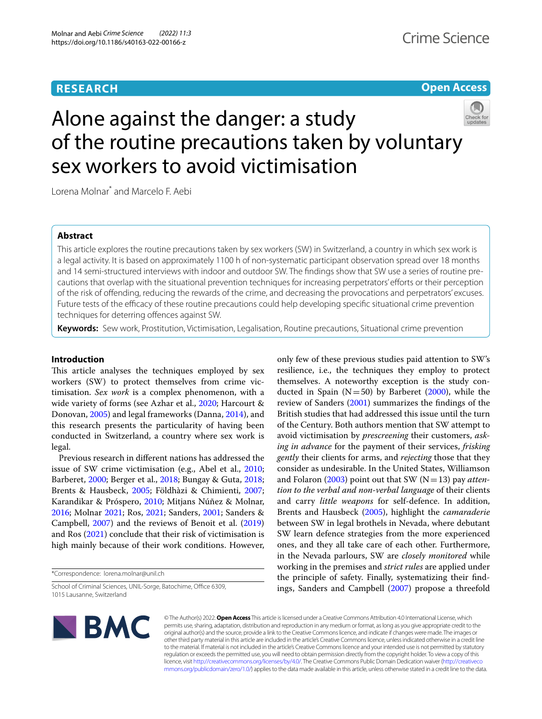## **RESEARCH**

# **Open Access**



# Alone against the danger: a study of the routine precautions taken by voluntary sex workers to avoid victimisation

Lorena Molnar\* and Marcelo F. Aebi

## **Abstract**

This article explores the routine precautions taken by sex workers (SW) in Switzerland, a country in which sex work is a legal activity. It is based on approximately 1100 h of non-systematic participant observation spread over 18 months and 14 semi-structured interviews with indoor and outdoor SW. The fndings show that SW use a series of routine precautions that overlap with the situational prevention techniques for increasing perpetrators' eforts or their perception of the risk of ofending, reducing the rewards of the crime, and decreasing the provocations and perpetrators' excuses. Future tests of the efficacy of these routine precautions could help developing specific situational crime prevention techniques for deterring offences against SW.

**Keywords:** Sew work, Prostitution, Victimisation, Legalisation, Routine precautions, Situational crime prevention

## **Introduction**

This article analyses the techniques employed by sex workers (SW) to protect themselves from crime victimisation. *Sex work* is a complex phenomenon, with a wide variety of forms (see Azhar et al., [2020;](#page-9-0) Harcourt & Donovan, [2005](#page-9-1)) and legal frameworks (Danna, [2014\)](#page-9-2), and this research presents the particularity of having been conducted in Switzerland, a country where sex work is legal.

Previous research in diferent nations has addressed the issue of SW crime victimisation (e.g., Abel et al., [2010](#page-9-3); Barberet, [2000;](#page-9-4) Berger et al., [2018;](#page-9-5) Bungay & Guta, [2018](#page-9-6); Brents & Hausbeck, [2005;](#page-9-7) Földhàzi & Chimienti, [2007](#page-9-8); Karandikar & Próspero, [2010](#page-9-9); Mitjans Núñez & Molnar, [2016](#page-9-10); Molnar [2021;](#page-10-0) Ros, [2021](#page-10-1); Sanders, [2001;](#page-10-2) Sanders & Campbell, [2007\)](#page-10-3) and the reviews of Benoit et al. ([2019](#page-9-11)) and Ros ([2021\)](#page-10-1) conclude that their risk of victimisation is high mainly because of their work conditions. However,

\*Correspondence: lorena.molnar@unil.ch

School of Criminal Sciences, UNIL-Sorge, Batochime, Office 6309, 1015 Lausanne, Switzerland

only few of these previous studies paid attention to SW's resilience, i.e., the techniques they employ to protect themselves. A noteworthy exception is the study conducted in Spain ( $N=50$ ) by Barberet [\(2000](#page-9-4)), while the review of Sanders [\(2001](#page-10-2)) summarizes the fndings of the British studies that had addressed this issue until the turn of the Century. Both authors mention that SW attempt to avoid victimisation by *prescreening* their customers, *asking in advance* for the payment of their services, *frisking gently* their clients for arms, and *rejecting* those that they consider as undesirable. In the United States, Williamson and Folaron [\(2003](#page-10-4)) point out that SW (N=13) pay *attention to the verbal and non-verbal language* of their clients and carry *little weapons* for self-defence. In addition, Brents and Hausbeck [\(2005\)](#page-9-7), highlight the *camaraderie* between SW in legal brothels in Nevada, where debutant SW learn defence strategies from the more experienced ones, and they all take care of each other. Furthermore, in the Nevada parlours, SW are *closely monitored* while working in the premises and *strict rules* are applied under the principle of safety. Finally, systematizing their fndings, Sanders and Campbell [\(2007](#page-10-3)) propose a threefold



© The Author(s) 2022. **Open Access** This article is licensed under a Creative Commons Attribution 4.0 International License, which permits use, sharing, adaptation, distribution and reproduction in any medium or format, as long as you give appropriate credit to the original author(s) and the source, provide a link to the Creative Commons licence, and indicate if changes were made. The images or other third party material in this article are included in the article's Creative Commons licence, unless indicated otherwise in a credit line to the material. If material is not included in the article's Creative Commons licence and your intended use is not permitted by statutory regulation or exceeds the permitted use, you will need to obtain permission directly from the copyright holder. To view a copy of this licence, visit [http://creativecommons.org/licenses/by/4.0/.](http://creativecommons.org/licenses/by/4.0/) The Creative Commons Public Domain Dedication waiver ([http://creativeco](http://creativecommons.org/publicdomain/zero/1.0/) [mmons.org/publicdomain/zero/1.0/](http://creativecommons.org/publicdomain/zero/1.0/)) applies to the data made available in this article, unless otherwise stated in a credit line to the data.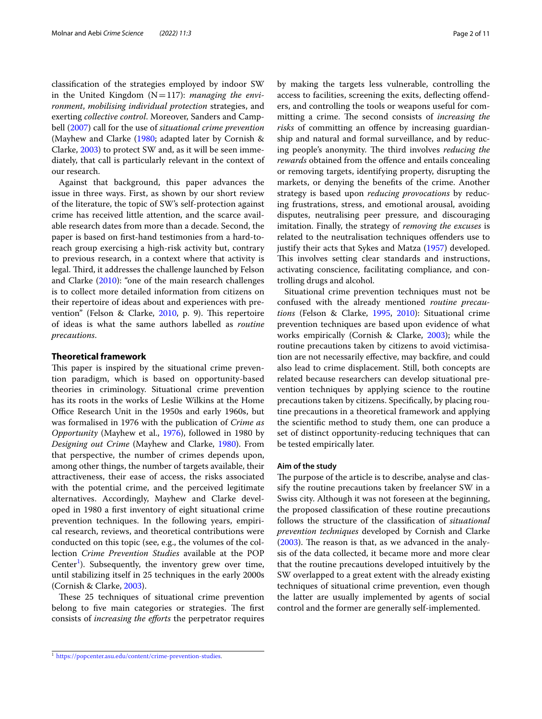classifcation of the strategies employed by indoor SW in the United Kingdom (N=117): *managing the environment*, *mobilising individual protection* strategies, and exerting *collective control*. Moreover, Sanders and Campbell [\(2007\)](#page-10-3) call for the use of *situational crime prevention* (Mayhew and Clarke ([1980](#page-9-12); adapted later by Cornish & Clarke, [2003\)](#page-9-13) to protect SW and, as it will be seen immediately, that call is particularly relevant in the context of our research.

Against that background, this paper advances the issue in three ways. First, as shown by our short review of the literature, the topic of SW's self-protection against crime has received little attention, and the scarce available research dates from more than a decade. Second, the paper is based on frst-hand testimonies from a hard-toreach group exercising a high-risk activity but, contrary to previous research, in a context where that activity is legal. Third, it addresses the challenge launched by Felson and Clarke ([2010](#page-9-14)): "one of the main research challenges is to collect more detailed information from citizens on their repertoire of ideas about and experiences with pre-vention" (Felson & Clarke, [2010](#page-9-14), p. 9). This repertoire of ideas is what the same authors labelled as *routine precautions*.

#### **Theoretical framework**

This paper is inspired by the situational crime prevention paradigm, which is based on opportunity-based theories in criminology. Situational crime prevention has its roots in the works of Leslie Wilkins at the Home Office Research Unit in the 1950s and early 1960s, but was formalised in 1976 with the publication of *Crime as Opportunity* (Mayhew et al., [1976\)](#page-9-15), followed in 1980 by *Designing out Crime* (Mayhew and Clarke, [1980](#page-9-12)). From that perspective, the number of crimes depends upon, among other things, the number of targets available, their attractiveness, their ease of access, the risks associated with the potential crime, and the perceived legitimate alternatives. Accordingly, Mayhew and Clarke developed in 1980 a frst inventory of eight situational crime prevention techniques. In the following years, empirical research, reviews, and theoretical contributions were conducted on this topic (see, e.g., the volumes of the collection *Crime Prevention Studies* available at the POP Center<sup>[1](#page-1-0)</sup>). Subsequently, the inventory grew over time, until stabilizing itself in 25 techniques in the early 2000s (Cornish & Clarke, [2003\)](#page-9-13).

These 25 techniques of situational crime prevention belong to five main categories or strategies. The first consists of *increasing the eforts* the perpetrator requires by making the targets less vulnerable, controlling the access to facilities, screening the exits, defecting ofenders, and controlling the tools or weapons useful for committing a crime. The second consists of *increasing the risks* of committing an offence by increasing guardianship and natural and formal surveillance, and by reducing people's anonymity. The third involves *reducing the rewards* obtained from the offence and entails concealing or removing targets, identifying property, disrupting the markets, or denying the benefts of the crime. Another strategy is based upon *reducing provocations* by reducing frustrations, stress, and emotional arousal, avoiding disputes, neutralising peer pressure, and discouraging imitation. Finally, the strategy of *removing the excuses* is related to the neutralisation techniques ofenders use to justify their acts that Sykes and Matza ([1957](#page-10-5)) developed. This involves setting clear standards and instructions, activating conscience, facilitating compliance, and controlling drugs and alcohol.

Situational crime prevention techniques must not be confused with the already mentioned *routine precautions* (Felson & Clarke, [1995](#page-9-16), [2010\)](#page-9-14): Situational crime prevention techniques are based upon evidence of what works empirically (Cornish & Clarke, [2003](#page-9-13)); while the routine precautions taken by citizens to avoid victimisation are not necessarily efective, may backfre, and could also lead to crime displacement. Still, both concepts are related because researchers can develop situational prevention techniques by applying science to the routine precautions taken by citizens. Specifcally, by placing routine precautions in a theoretical framework and applying the scientifc method to study them, one can produce a set of distinct opportunity-reducing techniques that can be tested empirically later.

#### **Aim of the study**

The purpose of the article is to describe, analyse and classify the routine precautions taken by freelancer SW in a Swiss city. Although it was not foreseen at the beginning, the proposed classifcation of these routine precautions follows the structure of the classifcation of *situational prevention techniques* developed by Cornish and Clarke  $(2003)$  $(2003)$ . The reason is that, as we advanced in the analysis of the data collected, it became more and more clear that the routine precautions developed intuitively by the SW overlapped to a great extent with the already existing techniques of situational crime prevention, even though the latter are usually implemented by agents of social control and the former are generally self-implemented.

<span id="page-1-0"></span><sup>1</sup> [https://popcenter.asu.edu/content/crime-prevention-studies.](https://popcenter.asu.edu/content/crime-prevention-studies)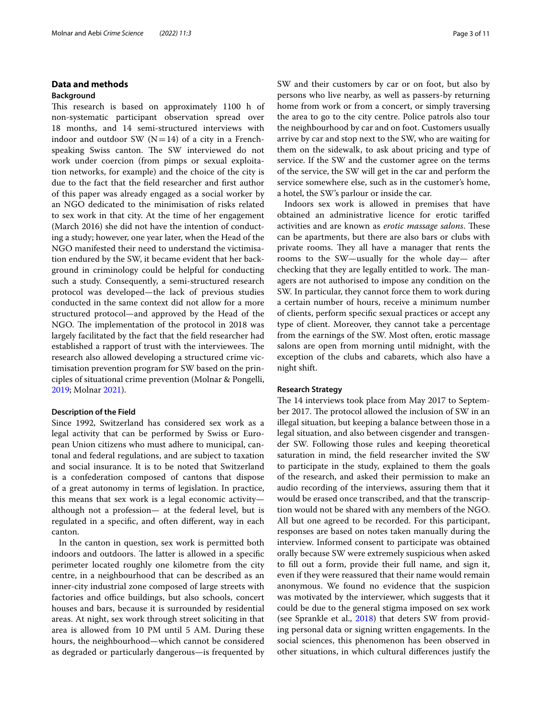## **Data and methods**

#### **Background**

This research is based on approximately 1100 h of non-systematic participant observation spread over 18 months, and 14 semi-structured interviews with indoor and outdoor SW  $(N=14)$  of a city in a Frenchspeaking Swiss canton. The SW interviewed do not work under coercion (from pimps or sexual exploitation networks, for example) and the choice of the city is due to the fact that the feld researcher and frst author of this paper was already engaged as a social worker by an NGO dedicated to the minimisation of risks related to sex work in that city. At the time of her engagement (March 2016) she did not have the intention of conducting a study; however, one year later, when the Head of the NGO manifested their need to understand the victimisation endured by the SW, it became evident that her background in criminology could be helpful for conducting such a study. Consequently, a semi-structured research protocol was developed—the lack of previous studies conducted in the same context did not allow for a more structured protocol—and approved by the Head of the NGO. The implementation of the protocol in 2018 was largely facilitated by the fact that the feld researcher had established a rapport of trust with the interviewees. The research also allowed developing a structured crime victimisation prevention program for SW based on the principles of situational crime prevention (Molnar & Pongelli, [2019](#page-9-17); Molnar [2021](#page-10-0)).

#### **Description of the Field**

Since 1992, Switzerland has considered sex work as a legal activity that can be performed by Swiss or European Union citizens who must adhere to municipal, cantonal and federal regulations, and are subject to taxation and social insurance. It is to be noted that Switzerland is a confederation composed of cantons that dispose of a great autonomy in terms of legislation. In practice, this means that sex work is a legal economic activity although not a profession— at the federal level, but is regulated in a specifc, and often diferent, way in each canton.

In the canton in question, sex work is permitted both indoors and outdoors. The latter is allowed in a specific perimeter located roughly one kilometre from the city centre, in a neighbourhood that can be described as an inner-city industrial zone composed of large streets with factories and office buildings, but also schools, concert houses and bars, because it is surrounded by residential areas. At night, sex work through street soliciting in that area is allowed from 10 PM until 5 AM. During these hours, the neighbourhood—which cannot be considered as degraded or particularly dangerous—is frequented by SW and their customers by car or on foot, but also by persons who live nearby, as well as passers-by returning home from work or from a concert, or simply traversing the area to go to the city centre. Police patrols also tour the neighbourhood by car and on foot. Customers usually arrive by car and stop next to the SW, who are waiting for them on the sidewalk, to ask about pricing and type of service. If the SW and the customer agree on the terms of the service, the SW will get in the car and perform the service somewhere else, such as in the customer's home, a hotel, the SW's parlour or inside the car.

Indoors sex work is allowed in premises that have obtained an administrative licence for erotic tarifed activities and are known as *erotic massage salons*. These can be apartments, but there are also bars or clubs with private rooms. They all have a manager that rents the rooms to the SW—usually for the whole day— after checking that they are legally entitled to work. The managers are not authorised to impose any condition on the SW. In particular, they cannot force them to work during a certain number of hours, receive a minimum number of clients, perform specifc sexual practices or accept any type of client. Moreover, they cannot take a percentage from the earnings of the SW. Most often, erotic massage salons are open from morning until midnight, with the exception of the clubs and cabarets, which also have a night shift.

#### **Research Strategy**

The 14 interviews took place from May 2017 to September 2017. The protocol allowed the inclusion of SW in an illegal situation, but keeping a balance between those in a legal situation, and also between cisgender and transgender SW. Following those rules and keeping theoretical saturation in mind, the feld researcher invited the SW to participate in the study, explained to them the goals of the research, and asked their permission to make an audio recording of the interviews, assuring them that it would be erased once transcribed, and that the transcription would not be shared with any members of the NGO. All but one agreed to be recorded. For this participant, responses are based on notes taken manually during the interview. Informed consent to participate was obtained orally because SW were extremely suspicious when asked to fll out a form, provide their full name, and sign it, even if they were reassured that their name would remain anonymous. We found no evidence that the suspicion was motivated by the interviewer, which suggests that it could be due to the general stigma imposed on sex work (see Sprankle et al., [2018](#page-10-6)) that deters SW from providing personal data or signing written engagements. In the social sciences, this phenomenon has been observed in other situations, in which cultural diferences justify the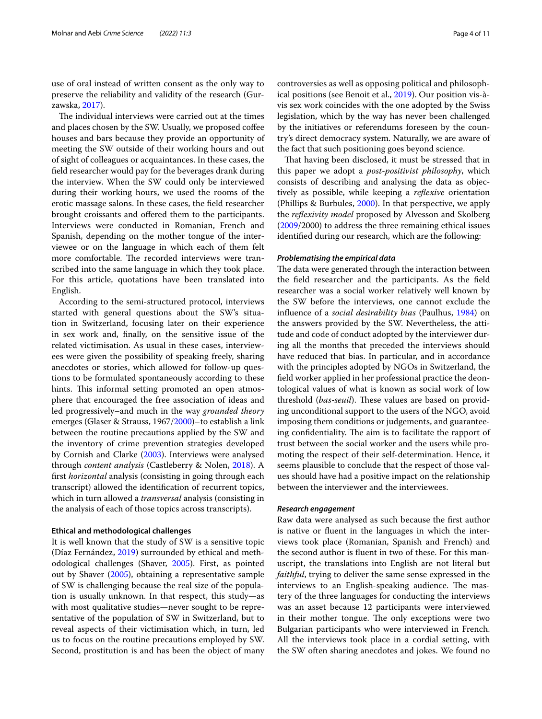use of oral instead of written consent as the only way to preserve the reliability and validity of the research (Gurzawska, [2017](#page-9-18)).

The individual interviews were carried out at the times and places chosen by the SW. Usually, we proposed cofee houses and bars because they provide an opportunity of meeting the SW outside of their working hours and out of sight of colleagues or acquaintances. In these cases, the feld researcher would pay for the beverages drank during the interview. When the SW could only be interviewed during their working hours, we used the rooms of the erotic massage salons. In these cases, the feld researcher brought croissants and ofered them to the participants. Interviews were conducted in Romanian, French and Spanish, depending on the mother tongue of the interviewee or on the language in which each of them felt more comfortable. The recorded interviews were transcribed into the same language in which they took place. For this article, quotations have been translated into English.

According to the semi-structured protocol, interviews started with general questions about the SW's situation in Switzerland, focusing later on their experience in sex work and, fnally, on the sensitive issue of the related victimisation. As usual in these cases, interviewees were given the possibility of speaking freely, sharing anecdotes or stories, which allowed for follow-up questions to be formulated spontaneously according to these hints. This informal setting promoted an open atmosphere that encouraged the free association of ideas and led progressively–and much in the way *grounded theory* emerges (Glaser & Strauss, 1967[/2000\)](#page-9-19)–to establish a link between the routine precautions applied by the SW and the inventory of crime prevention strategies developed by Cornish and Clarke ([2003](#page-9-13)). Interviews were analysed through *content analysis* (Castleberry & Nolen, [2018](#page-9-20)). A frst *horizontal* analysis (consisting in going through each transcript) allowed the identifcation of recurrent topics, which in turn allowed a *transversal* analysis (consisting in the analysis of each of those topics across transcripts).

#### **Ethical and methodological challenges**

It is well known that the study of SW is a sensitive topic (Díaz Fernández, [2019\)](#page-9-21) surrounded by ethical and methodological challenges (Shaver, [2005\)](#page-10-7). First, as pointed out by Shaver [\(2005](#page-10-7)), obtaining a representative sample of SW is challenging because the real size of the population is usually unknown. In that respect, this study—as with most qualitative studies—never sought to be representative of the population of SW in Switzerland, but to reveal aspects of their victimisation which, in turn, led us to focus on the routine precautions employed by SW. Second, prostitution is and has been the object of many controversies as well as opposing political and philosophical positions (see Benoit et al., [2019\)](#page-9-11). Our position vis-àvis sex work coincides with the one adopted by the Swiss legislation, which by the way has never been challenged by the initiatives or referendums foreseen by the country's direct democracy system. Naturally, we are aware of the fact that such positioning goes beyond science.

That having been disclosed, it must be stressed that in this paper we adopt a *post-positivist philosophy*, which consists of describing and analysing the data as objectively as possible, while keeping a *refexive* orientation (Phillips & Burbules, [2000](#page-10-8)). In that perspective, we apply the *refexivity model* proposed by Alvesson and Skolberg ([2009/](#page-9-22)2000) to address the three remaining ethical issues identifed during our research, which are the following:

#### *Problematising the empirical data*

The data were generated through the interaction between the feld researcher and the participants. As the feld researcher was a social worker relatively well known by the SW before the interviews, one cannot exclude the infuence of a *social desirability bias* (Paulhus, [1984](#page-10-9)) on the answers provided by the SW. Nevertheless, the attitude and code of conduct adopted by the interviewer during all the months that preceded the interviews should have reduced that bias. In particular, and in accordance with the principles adopted by NGOs in Switzerland, the feld worker applied in her professional practice the deontological values of what is known as social work of low threshold (*bas-seuil*). These values are based on providing unconditional support to the users of the NGO, avoid imposing them conditions or judgements, and guaranteeing confidentiality. The aim is to facilitate the rapport of trust between the social worker and the users while promoting the respect of their self-determination. Hence, it seems plausible to conclude that the respect of those values should have had a positive impact on the relationship between the interviewer and the interviewees.

#### *Research engagement*

Raw data were analysed as such because the frst author is native or fuent in the languages in which the interviews took place (Romanian, Spanish and French) and the second author is fuent in two of these. For this manuscript, the translations into English are not literal but *faithful*, trying to deliver the same sense expressed in the interviews to an English-speaking audience. The mastery of the three languages for conducting the interviews was an asset because 12 participants were interviewed in their mother tongue. The only exceptions were two Bulgarian participants who were interviewed in French. All the interviews took place in a cordial setting, with the SW often sharing anecdotes and jokes. We found no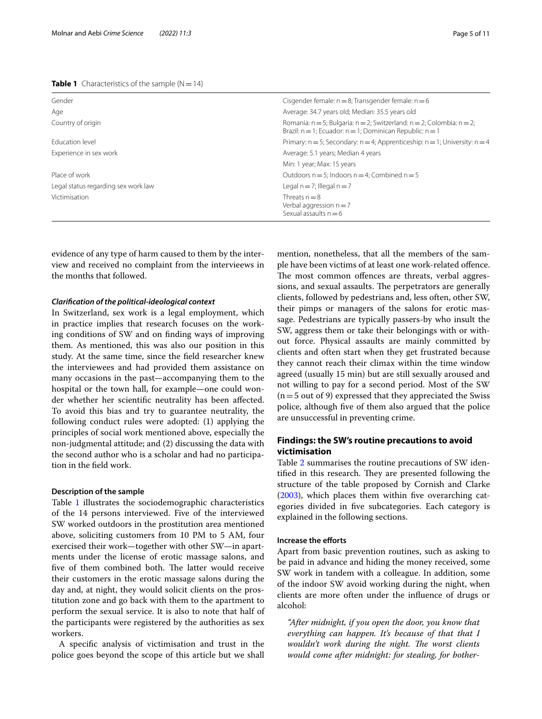#### <span id="page-4-0"></span>**Table 1** Characteristics of the sample  $(N=14)$

| Gender                              | Cisgender female: $n = 8$ ; Transgender female: $n = 6$                                                                                               |  |  |
|-------------------------------------|-------------------------------------------------------------------------------------------------------------------------------------------------------|--|--|
| Age                                 | Average: 34.7 years old; Median: 35.5 years old                                                                                                       |  |  |
| Country of origin                   | Romania: $n = 5$ ; Bulgaria: $n = 2$ ; Switzerland: $n = 2$ ; Colombia: $n = 2$ ;<br>Brazil: $n = 1$ ; Ecuador: $n = 1$ ; Dominican Republic: $n = 1$ |  |  |
| <b>Education level</b>              | Primary: $n = 5$ ; Secondary: $n = 4$ ; Apprenticeship: $n = 1$ ; University: $n = 4$                                                                 |  |  |
| Experience in sex work              | Average: 5.1 years; Median 4 years                                                                                                                    |  |  |
|                                     | Min: 1 year; Max: 15 years                                                                                                                            |  |  |
| Place of work                       | Outdoors $n = 5$ ; Indoors $n = 4$ ; Combined $n = 5$                                                                                                 |  |  |
| Legal status regarding sex work law | Legal $n = 7$ ; Illegal $n = 7$                                                                                                                       |  |  |
| Victimisation                       | Threats $n = 8$<br>Verbal aggression $n = 7$<br>Sexual assaults $n = 6$                                                                               |  |  |

evidence of any type of harm caused to them by the interview and received no complaint from the intervieews in the months that followed.

#### *Clarifcation of the political‑ideological context*

In Switzerland, sex work is a legal employment, which in practice implies that research focuses on the working conditions of SW and on fnding ways of improving them. As mentioned, this was also our position in this study. At the same time, since the feld researcher knew the interviewees and had provided them assistance on many occasions in the past—accompanying them to the hospital or the town hall, for example—one could wonder whether her scientifc neutrality has been afected. To avoid this bias and try to guarantee neutrality, the following conduct rules were adopted: (1) applying the principles of social work mentioned above, especially the non-judgmental attitude; and (2) discussing the data with the second author who is a scholar and had no participation in the feld work.

## **Description of the sample**

Table [1](#page-4-0) illustrates the sociodemographic characteristics of the 14 persons interviewed. Five of the interviewed SW worked outdoors in the prostitution area mentioned above, soliciting customers from 10 PM to 5 AM, four exercised their work—together with other SW—in apartments under the license of erotic massage salons, and five of them combined both. The latter would receive their customers in the erotic massage salons during the day and, at night, they would solicit clients on the prostitution zone and go back with them to the apartment to perform the sexual service. It is also to note that half of the participants were registered by the authorities as sex workers.

A specifc analysis of victimisation and trust in the police goes beyond the scope of this article but we shall

mention, nonetheless, that all the members of the sample have been victims of at least one work-related ofence. The most common offences are threats, verbal aggressions, and sexual assaults. The perpetrators are generally clients, followed by pedestrians and, less often, other SW, their pimps or managers of the salons for erotic massage. Pedestrians are typically passers-by who insult the SW, aggress them or take their belongings with or without force. Physical assaults are mainly committed by clients and often start when they get frustrated because they cannot reach their climax within the time window agreed (usually 15 min) but are still sexually aroused and not willing to pay for a second period. Most of the SW  $(n=5$  out of 9) expressed that they appreciated the Swiss police, although fve of them also argued that the police are unsuccessful in preventing crime.

## **Findings: the SW's routine precautions to avoid victimisation**

Table [2](#page-5-0) summarises the routine precautions of SW identified in this research. They are presented following the structure of the table proposed by Cornish and Clarke ([2003\)](#page-9-13), which places them within fve overarching categories divided in fve subcategories. Each category is explained in the following sections.

## **Increase the eforts**

Apart from basic prevention routines, such as asking to be paid in advance and hiding the money received, some SW work in tandem with a colleague. In addition, some of the indoor SW avoid working during the night, when clients are more often under the infuence of drugs or alcohol:

*"After midnight, if you open the door, you know that everything can happen. It's because of that that I wouldn't work during the night. The worst clients would come after midnight: for stealing, for bother-*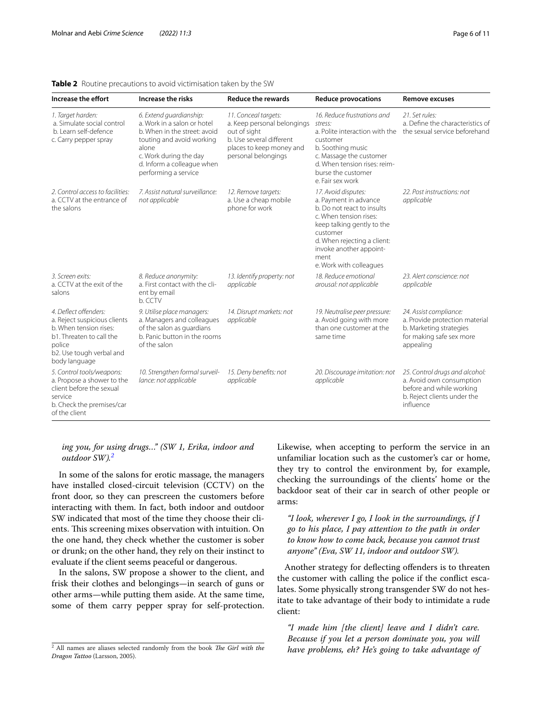| Increase the effort                                                                                                                                                | Increase the risks                                                                                                                                                                                           | <b>Reduce the rewards</b>                                                                                                                          | <b>Reduce provocations</b>                                                                                                                                                                                                                  | <b>Remove excuses</b>                                                                                                              |
|--------------------------------------------------------------------------------------------------------------------------------------------------------------------|--------------------------------------------------------------------------------------------------------------------------------------------------------------------------------------------------------------|----------------------------------------------------------------------------------------------------------------------------------------------------|---------------------------------------------------------------------------------------------------------------------------------------------------------------------------------------------------------------------------------------------|------------------------------------------------------------------------------------------------------------------------------------|
| 1. Target harden:<br>a. Simulate social control<br>b. Learn self-defence<br>c. Carry pepper spray                                                                  | 6. Extend quardianship:<br>a. Work in a salon or hotel<br>b. When in the street: avoid<br>touting and avoid working<br>alone<br>c. Work during the day<br>d. Inform a colleague when<br>performing a service | 11. Conceal targets:<br>a. Keep personal belongings<br>out of sight<br>b. Use several different<br>places to keep money and<br>personal belongings | 16. Reduce frustrations and<br>stress:<br>a. Polite interaction with the<br>customer<br>b. Soothing music<br>c. Massage the customer<br>d. When tension rises: reim-<br>burse the customer<br>e. Fair sex work                              | 21. Set rules:<br>a. Define the characteristics of<br>the sexual service beforehand                                                |
| 2. Control access to facilities:<br>a. CCTV at the entrance of<br>the salons                                                                                       | 7. Assist natural surveillance:<br>not applicable                                                                                                                                                            | 12. Remove targets:<br>a. Use a cheap mobile<br>phone for work                                                                                     | 17. Avoid disputes:<br>a. Payment in advance<br>b. Do not react to insults<br>c. When tension rises:<br>keep talking gently to the<br>customer<br>d. When rejecting a client:<br>invoke another appoint-<br>ment<br>e. Work with colleagues | 22. Post instructions: not<br>applicable                                                                                           |
| 3. Screen exits:<br>a. CCTV at the exit of the<br>salons                                                                                                           | 8. Reduce anonymity:<br>a. First contact with the cli-<br>ent by email<br>b. CCTV                                                                                                                            | 13. Identify property: not<br>applicable                                                                                                           | 18. Reduce emotional<br>arousal: not applicable                                                                                                                                                                                             | 23. Alert conscience: not<br>applicable                                                                                            |
| 4. Deflect offenders:<br>a. Reject suspicious clients<br>b. When tension rises:<br>b1. Threaten to call the<br>police<br>b2. Use tough verbal and<br>body language | 9. Utilise place managers:<br>a. Managers and colleagues<br>of the salon as quardians<br>b. Panic button in the rooms<br>of the salon                                                                        | 14. Disrupt markets: not<br>applicable                                                                                                             | 19. Neutralise peer pressure:<br>a. Avoid going with more<br>than one customer at the<br>same time                                                                                                                                          | 24. Assist compliance:<br>a. Provide protection material<br>b. Marketing strategies<br>for making safe sex more<br>appealing       |
| 5. Control tools/weapons:<br>a. Propose a shower to the<br>client before the sexual<br>service<br>b. Check the premises/car<br>of the client                       | 10. Strengthen formal surveil-<br>lance: not applicable                                                                                                                                                      | 15. Deny benefits: not<br>applicable                                                                                                               | 20. Discourage imitation: not<br>applicable                                                                                                                                                                                                 | 25. Control drugs and alcohol:<br>a. Avoid own consumption<br>before and while working<br>b. Reject clients under the<br>influence |

#### <span id="page-5-0"></span>**Table 2** Routine precautions to avoid victimisation taken by the SW

## *ing you, for using drugs…" (SW 1, Erika, indoor and outdoor SW).[2](#page-5-1)*

In some of the salons for erotic massage, the managers have installed closed-circuit television (CCTV) on the front door, so they can prescreen the customers before interacting with them. In fact, both indoor and outdoor SW indicated that most of the time they choose their clients. This screening mixes observation with intuition. On the one hand, they check whether the customer is sober or drunk; on the other hand, they rely on their instinct to evaluate if the client seems peaceful or dangerous.

In the salons, SW propose a shower to the client, and frisk their clothes and belongings—in search of guns or other arms—while putting them aside. At the same time, some of them carry pepper spray for self-protection. Likewise, when accepting to perform the service in an unfamiliar location such as the customer's car or home, they try to control the environment by, for example, checking the surroundings of the clients' home or the backdoor seat of their car in search of other people or arms:

*"I look, wherever I go, I look in the surroundings, if I go to his place, I pay attention to the path in order to know how to come back, because you cannot trust anyone" (Eva, SW 11, indoor and outdoor SW).*

Another strategy for defecting ofenders is to threaten the customer with calling the police if the confict escalates. Some physically strong transgender SW do not hesitate to take advantage of their body to intimidate a rude client:

*"I made him [the client] leave and I didn't care. Because if you let a person dominate you, you will have problems, eh? He's going to take advantage of* 

<span id="page-5-1"></span><sup>&</sup>lt;sup>2</sup> All names are aliases selected randomly from the book *The Girl with the Dragon Tattoo* (Larsson, 2005).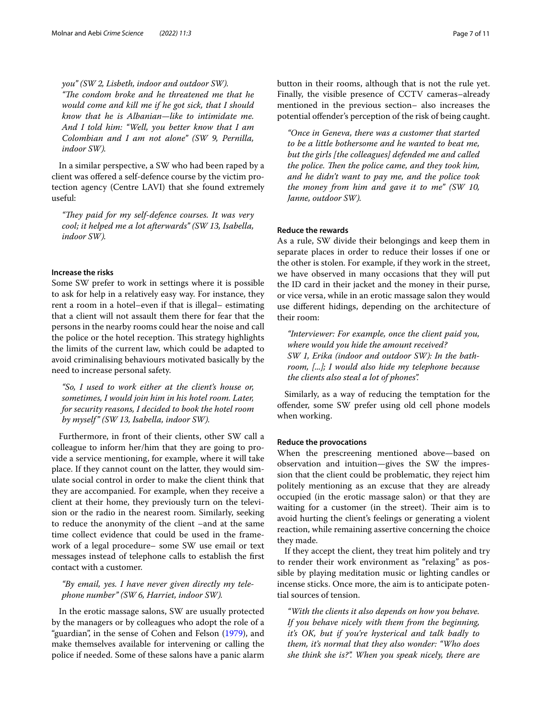*you" (SW 2, Lisbeth, indoor and outdoor SW).* "The condom broke and he threatened me that he *would come and kill me if he got sick, that I should know that he is Albanian—like to intimidate me. And I told him: "Well, you better know that I am Colombian and I am not alone" (SW 9, Pernilla, indoor SW).*

In a similar perspective, a SW who had been raped by a client was ofered a self-defence course by the victim protection agency (Centre LAVI) that she found extremely useful:

*"They paid for my self-defence courses. It was very cool; it helped me a lot afterwards" (SW 13, Isabella, indoor SW).*

#### **Increase the risks**

Some SW prefer to work in settings where it is possible to ask for help in a relatively easy way. For instance, they rent a room in a hotel–even if that is illegal– estimating that a client will not assault them there for fear that the persons in the nearby rooms could hear the noise and call the police or the hotel reception. This strategy highlights the limits of the current law, which could be adapted to avoid criminalising behaviours motivated basically by the need to increase personal safety.

*"So, I used to work either at the client's house or, sometimes, I would join him in his hotel room. Later, for security reasons, I decided to book the hotel room by myself" (SW 13, Isabella, indoor SW).*

Furthermore, in front of their clients, other SW call a colleague to inform her/him that they are going to provide a service mentioning, for example, where it will take place. If they cannot count on the latter, they would simulate social control in order to make the client think that they are accompanied. For example, when they receive a client at their home, they previously turn on the television or the radio in the nearest room. Similarly, seeking to reduce the anonymity of the client –and at the same time collect evidence that could be used in the framework of a legal procedure– some SW use email or text messages instead of telephone calls to establish the frst contact with a customer.

## *"By email, yes. I have never given directly my telephone number" (SW 6, Harriet, indoor SW).*

In the erotic massage salons, SW are usually protected by the managers or by colleagues who adopt the role of a "guardian", in the sense of Cohen and Felson [\(1979\)](#page-9-23), and make themselves available for intervening or calling the police if needed. Some of these salons have a panic alarm button in their rooms, although that is not the rule yet. Finally, the visible presence of CCTV cameras–already mentioned in the previous section– also increases the potential ofender's perception of the risk of being caught.

*"Once in Geneva, there was a customer that started to be a little bothersome and he wanted to beat me, but the girls [the colleagues] defended me and called the police. Then the police came, and they took him, and he didn't want to pay me, and the police took the money from him and gave it to me" (SW 10, Janne, outdoor SW).*

## **Reduce the rewards**

As a rule, SW divide their belongings and keep them in separate places in order to reduce their losses if one or the other is stolen. For example, if they work in the street, we have observed in many occasions that they will put the ID card in their jacket and the money in their purse, or vice versa, while in an erotic massage salon they would use diferent hidings, depending on the architecture of their room:

*"Interviewer: For example, once the client paid you, where would you hide the amount received? SW 1, Erika (indoor and outdoor SW): In the bathroom, [...]; I would also hide my telephone because the clients also steal a lot of phones".*

Similarly, as a way of reducing the temptation for the ofender, some SW prefer using old cell phone models when working.

#### **Reduce the provocations**

When the prescreening mentioned above—based on observation and intuition—gives the SW the impression that the client could be problematic, they reject him politely mentioning as an excuse that they are already occupied (in the erotic massage salon) or that they are waiting for a customer (in the street). Their aim is to avoid hurting the client's feelings or generating a violent reaction, while remaining assertive concerning the choice they made.

If they accept the client, they treat him politely and try to render their work environment as "relaxing" as possible by playing meditation music or lighting candles or incense sticks. Once more, the aim is to anticipate potential sources of tension.

*"With the clients it also depends on how you behave. If you behave nicely with them from the beginning, it's OK, but if you're hysterical and talk badly to them, it's normal that they also wonder: "Who does she think she is?". When you speak nicely, there are*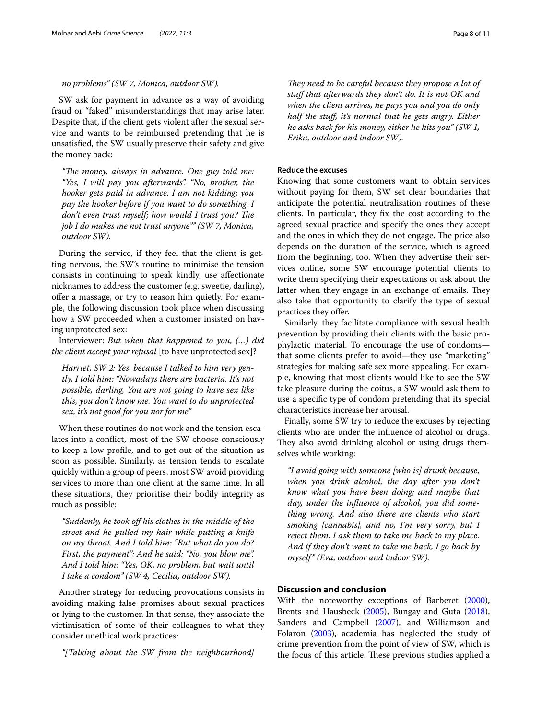#### *no problems" (SW 7, Monica, outdoor SW).*

SW ask for payment in advance as a way of avoiding fraud or "faked" misunderstandings that may arise later. Despite that, if the client gets violent after the sexual service and wants to be reimbursed pretending that he is unsatisfed, the SW usually preserve their safety and give the money back:

"The money, always in advance. One guy told me: *"Yes, I will pay you afterwards". "No, brother, the hooker gets paid in advance. I am not kidding; you pay the hooker before if you want to do something. I don't even trust myself; how would I trust you? The job I do makes me not trust anyone"" (SW 7, Monica, outdoor SW).*

During the service, if they feel that the client is getting nervous, the SW's routine to minimise the tension consists in continuing to speak kindly, use afectionate nicknames to address the customer (e.g. sweetie, darling), offer a massage, or try to reason him quietly. For example, the following discussion took place when discussing how a SW proceeded when a customer insisted on having unprotected sex:

Interviewer: *But when that happened to you, (…) did the client accept your refusal* [to have unprotected sex]?

*Harriet, SW 2: Yes, because I talked to him very gently, I told him: "Nowadays there are bacteria. It's not possible, darling, You are not going to have sex like this, you don't know me. You want to do unprotected sex, it's not good for you nor for me"*

When these routines do not work and the tension escalates into a confict, most of the SW choose consciously to keep a low profle, and to get out of the situation as soon as possible. Similarly, as tension tends to escalate quickly within a group of peers, most SW avoid providing services to more than one client at the same time. In all these situations, they prioritise their bodily integrity as much as possible:

*"Suddenly, he took of his clothes in the middle of the street and he pulled my hair while putting a knife on my throat. And I told him: "But what do you do? First, the payment"; And he said: "No, you blow me". And I told him: "Yes, OK, no problem, but wait until I take a condom" (SW 4, Cecilia, outdoor SW).*

Another strategy for reducing provocations consists in avoiding making false promises about sexual practices or lying to the customer. In that sense, they associate the victimisation of some of their colleagues to what they consider unethical work practices:

*"[Talking about the SW from the neighbourhood]* 

They need to be careful because they propose a lot of *stuf that afterwards they don't do. It is not OK and when the client arrives, he pays you and you do only half the stuff, it's normal that he gets angry. Either he asks back for his money, either he hits you" (SW 1, Erika, outdoor and indoor SW).*

### **Reduce the excuses**

Knowing that some customers want to obtain services without paying for them, SW set clear boundaries that anticipate the potential neutralisation routines of these clients. In particular, they fx the cost according to the agreed sexual practice and specify the ones they accept and the ones in which they do not engage. The price also depends on the duration of the service, which is agreed from the beginning, too. When they advertise their services online, some SW encourage potential clients to write them specifying their expectations or ask about the latter when they engage in an exchange of emails. They also take that opportunity to clarify the type of sexual practices they offer.

Similarly, they facilitate compliance with sexual health prevention by providing their clients with the basic prophylactic material. To encourage the use of condoms that some clients prefer to avoid—they use "marketing" strategies for making safe sex more appealing. For example, knowing that most clients would like to see the SW take pleasure during the coitus, a SW would ask them to use a specifc type of condom pretending that its special characteristics increase her arousal.

Finally, some SW try to reduce the excuses by rejecting clients who are under the infuence of alcohol or drugs. They also avoid drinking alcohol or using drugs themselves while working:

*"I avoid going with someone [who is] drunk because, when you drink alcohol, the day after you don't know what you have been doing; and maybe that day, under the infuence of alcohol, you did something wrong. And also there are clients who start smoking [cannabis], and no, I'm very sorry, but I reject them. I ask them to take me back to my place. And if they don't want to take me back, I go back by myself" (Eva, outdoor and indoor SW).*

## **Discussion and conclusion**

With the noteworthy exceptions of Barberet [\(2000](#page-9-4)), Brents and Hausbeck [\(2005](#page-9-7)), Bungay and Guta [\(2018](#page-9-6)), Sanders and Campbell [\(2007](#page-10-3)), and Williamson and Folaron ([2003\)](#page-10-4), academia has neglected the study of crime prevention from the point of view of SW, which is the focus of this article. These previous studies applied a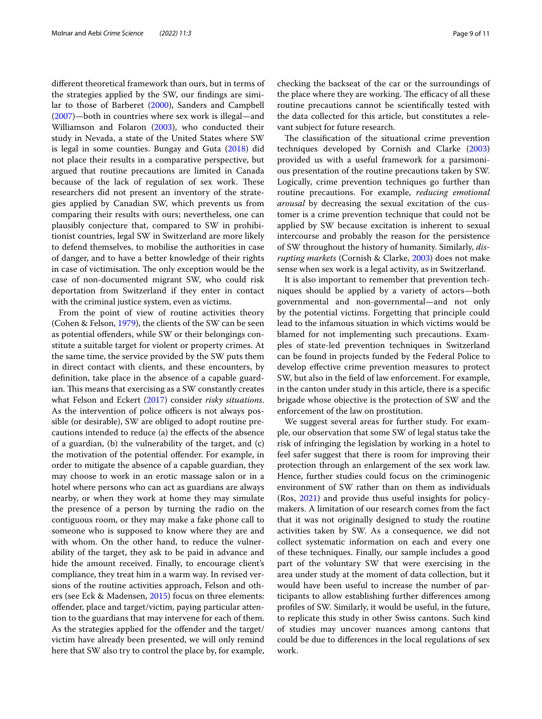diferent theoretical framework than ours, but in terms of the strategies applied by the SW, our fndings are similar to those of Barberet ([2000](#page-9-4)), Sanders and Campbell ([2007\)](#page-10-3)—both in countries where sex work is illegal—and Williamson and Folaron [\(2003](#page-10-4)), who conducted their study in Nevada, a state of the United States where SW is legal in some counties. Bungay and Guta [\(2018](#page-9-6)) did not place their results in a comparative perspective, but argued that routine precautions are limited in Canada because of the lack of regulation of sex work. These researchers did not present an inventory of the strategies applied by Canadian SW, which prevents us from comparing their results with ours; nevertheless, one can plausibly conjecture that, compared to SW in prohibitionist countries, legal SW in Switzerland are more likely to defend themselves, to mobilise the authorities in case of danger, and to have a better knowledge of their rights in case of victimisation. The only exception would be the case of non-documented migrant SW, who could risk deportation from Switzerland if they enter in contact with the criminal justice system, even as victims.

From the point of view of routine activities theory (Cohen & Felson, [1979](#page-9-23)), the clients of the SW can be seen as potential ofenders, while SW or their belongings constitute a suitable target for violent or property crimes. At the same time, the service provided by the SW puts them in direct contact with clients, and these encounters, by defnition, take place in the absence of a capable guardian. This means that exercising as a SW constantly creates what Felson and Eckert [\(2017\)](#page-9-24) consider *risky situations*. As the intervention of police officers is not always possible (or desirable), SW are obliged to adopt routine precautions intended to reduce (a) the efects of the absence of a guardian, (b) the vulnerability of the target, and (c) the motivation of the potential ofender. For example, in order to mitigate the absence of a capable guardian, they may choose to work in an erotic massage salon or in a hotel where persons who can act as guardians are always nearby, or when they work at home they may simulate the presence of a person by turning the radio on the contiguous room, or they may make a fake phone call to someone who is supposed to know where they are and with whom. On the other hand, to reduce the vulnerability of the target, they ask to be paid in advance and hide the amount received. Finally, to encourage client's compliance, they treat him in a warm way. In revised versions of the routine activities approach, Felson and others (see Eck & Madensen, [2015](#page-9-25)) focus on three elements: ofender, place and target/victim, paying particular attention to the guardians that may intervene for each of them. As the strategies applied for the ofender and the target/ victim have already been presented, we will only remind here that SW also try to control the place by, for example,

checking the backseat of the car or the surroundings of the place where they are working. The efficacy of all these routine precautions cannot be scientifcally tested with the data collected for this article, but constitutes a relevant subject for future research.

The classification of the situational crime prevention techniques developed by Cornish and Clarke ([2003](#page-9-13)) provided us with a useful framework for a parsimonious presentation of the routine precautions taken by SW. Logically, crime prevention techniques go further than routine precautions. For example, *reducing emotional arousal* by decreasing the sexual excitation of the customer is a crime prevention technique that could not be applied by SW because excitation is inherent to sexual intercourse and probably the reason for the persistence of SW throughout the history of humanity. Similarly, *disrupting markets* (Cornish & Clarke, [2003\)](#page-9-13) does not make sense when sex work is a legal activity, as in Switzerland.

It is also important to remember that prevention techniques should be applied by a variety of actors—both governmental and non-governmental—and not only by the potential victims. Forgetting that principle could lead to the infamous situation in which victims would be blamed for not implementing such precautions. Examples of state-led prevention techniques in Switzerland can be found in projects funded by the Federal Police to develop efective crime prevention measures to protect SW, but also in the feld of law enforcement. For example, in the canton under study in this article, there is a specifc brigade whose objective is the protection of SW and the enforcement of the law on prostitution.

We suggest several areas for further study. For example, our observation that some SW of legal status take the risk of infringing the legislation by working in a hotel to feel safer suggest that there is room for improving their protection through an enlargement of the sex work law. Hence, further studies could focus on the criminogenic environment of SW rather than on them as individuals (Ros, [2021\)](#page-10-1) and provide thus useful insights for policymakers. A limitation of our research comes from the fact that it was not originally designed to study the routine activities taken by SW. As a consequence, we did not collect systematic information on each and every one of these techniques. Finally, our sample includes a good part of the voluntary SW that were exercising in the area under study at the moment of data collection, but it would have been useful to increase the number of participants to allow establishing further diferences among profles of SW. Similarly, it would be useful, in the future, to replicate this study in other Swiss cantons. Such kind of studies may uncover nuances among cantons that could be due to diferences in the local regulations of sex work.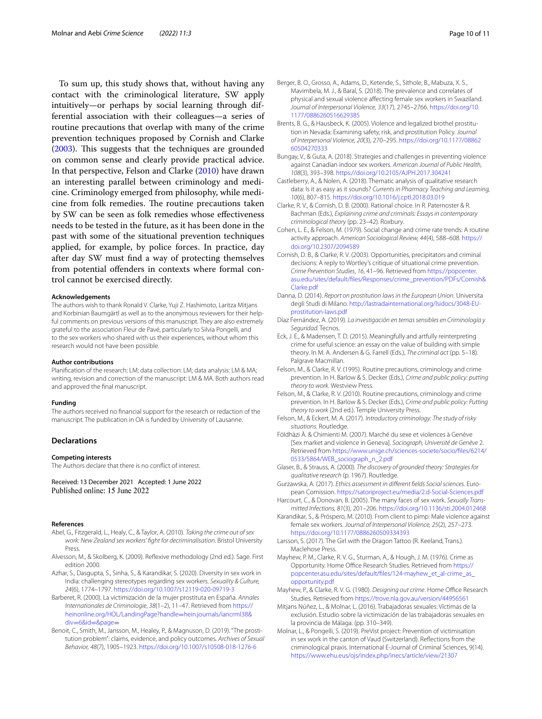To sum up, this study shows that, without having any contact with the criminological literature, SW apply intuitively—or perhaps by social learning through differential association with their colleagues—a series of routine precautions that overlap with many of the crime prevention techniques proposed by Cornish and Clarke ([2003\)](#page-9-13). This suggests that the techniques are grounded on common sense and clearly provide practical advice. In that perspective, Felson and Clarke ([2010\)](#page-9-14) have drawn an interesting parallel between criminology and medicine. Criminology emerged from philosophy, while medicine from folk remedies. The routine precautions taken by SW can be seen as folk remedies whose efectiveness needs to be tested in the future, as it has been done in the past with some of the situational prevention techniques applied, for example, by police forces. In practice, day after day SW must fnd a way of protecting themselves from potential offenders in contexts where formal control cannot be exercised directly.

#### **Acknowledgements**

The authors wish to thank Ronald V. Clarke, Yuji Z. Hashimoto, Laritza Mitjans and Korbinian Baumgärtl as well as to the anonymous reviewers for their helpful comments on previous versions of this manuscript. They are also extremely grateful to the association Fleur de Pavé, particularly to Silvia Pongelli, and to the sex workers who shared with us their experiences, without whom this research would not have been possible.

#### **Author contributions**

Planifcation of the research: LM; data collection: LM; data analysis: LM & MA; writing, revision and correction of the manuscript: LM & MA. Both authors read and approved the fnal manuscript.

#### **Funding**

The authors received no fnancial support for the research or redaction of the manuscript. The publication in OA is funded by University of Lausanne.

#### **Declarations**

#### **Competing interests**

The Authors declare that there is no confict of interest.

Received: 13 December 2021 Accepted: 1 June 2022 Published online: 15 June 2022

#### **References**

- <span id="page-9-3"></span>Abel, G., Fitzgerald, L., Healy, C., & Taylor, A. (2010). *Taking the crime out of sex work: New Zealand sex workers' fght for decriminalisation*. Bristol University Press.
- <span id="page-9-22"></span>Alvesson, M., & Skolberg, K. (2009). Refexive methodology (2nd ed.). Sage. First edition 2000.
- <span id="page-9-0"></span>Azhar, S., Dasgupta, S., Sinha, S., & Karandikar, S. (2020). Diversity in sex work in India: challenging stereotypes regarding sex workers. *Sexuality & Culture, 24*(6), 1774–1797.<https://doi.org/10.1007/s12119-020-09719-3>
- <span id="page-9-4"></span>Barberet, R. (2000). La victimización de la mujer prostituta en España. *Annales Internationales de Criminologie*, *38*(1–2), 11–47. Retrieved from [https://](https://heinonline.org/HOL/LandingPage?handle=hein.journals/iancrml38&div=6&id=&page) [heinonline.org/HOL/LandingPage?handle](https://heinonline.org/HOL/LandingPage?handle=hein.journals/iancrml38&div=6&id=&page)=hein.journals/iancrml38& div=6&id=&page=
- <span id="page-9-11"></span>Ben[oit, C., Smith, M., Jan](https://heinonline.org/HOL/LandingPage?handle=hein.journals/iancrml38&div=6&id=&page)sson, M., Healey, P., & Magnuson, D. (2019). "The prostitution problem": claims, evidence, and policy outcomes. *Archives of Sexual Behavior, 48*(7), 1905–1923. <https://doi.org/10.1007/s10508-018-1276-6>
- <span id="page-9-5"></span>Berger, B. O., Grosso, A., Adams, D., Ketende, S., Sithole, B., Mabuza, X. S., Mavimbela, M. J., & Baral, S. (2018). The prevalence and correlates of physical and sexual violence afecting female sex workers in Swaziland. *Journal of Interpersonal Violence, 33*(17), 2745–2766. [https://doi.org/10.](https://doi.org/10.1177/0886260516629385) [1177/0886260516629385](https://doi.org/10.1177/0886260516629385)
- <span id="page-9-7"></span>Brents, B. G., & Hausbeck, K. (2005). Violence and legalized brothel prostitution in Nevada: Examining safety, risk, and prostitution Policy. *Journal of Interpersonal Violence, 20*(3), 270–295. [https://doi.org/10.1177/08862](https://doi.org/10.1177/0886260504270333) [60504270333](https://doi.org/10.1177/0886260504270333)
- <span id="page-9-6"></span>Bungay, V., & Guta, A. (2018). Strategies and challenges in preventing violence against Canadian indoor sex workers. *American Journal of Public Health, 108*(3), 393–398.<https://doi.org/10.2105/AJPH.2017.304241>
- <span id="page-9-20"></span>Castleberry, A., & Nolen, A. (2018). Thematic analysis of qualitative research data: Is it as easy as it sounds? *Currents in Pharmacy Teaching and Learning, 10*(6), 807–815. <https://doi.org/10.1016/j.cptl.2018.03.019>
- Clarke, R. V., & Cornish, D. B. (2000). Rational choice. In R. Paternoster & R. Bachman (Eds.), *Explaining crime and criminals: Essays in contemporary criminological theory* (pp. 23–42). Roxbury.
- <span id="page-9-23"></span>Cohen, L. E., & Felson, M. (1979). Social change and crime rate trends: A routine activity approach. *American Sociological Review, 44*(4), 588–608. [https://](https://doi.org/10.2307/2094589) [doi.org/10.2307/2094589](https://doi.org/10.2307/2094589)
- <span id="page-9-13"></span>Cornish, D. B., & Clarke, R. V. (2003). Opportunities, precipitators and criminal decisions: A reply to Wortley's critique of situational crime prevention. *Crime Prevention Studies*, *16*, 41–96. Retrieved from [https://popcenter.](https://popcenter.asu.edu/sites/default/files/Responses/crime_prevention/PDFs/Cornish&Clarke.pdf) [asu.edu/sites/default/fles/Responses/crime\\_prevention/PDFs/Cornish&](https://popcenter.asu.edu/sites/default/files/Responses/crime_prevention/PDFs/Cornish&Clarke.pdf) [Clarke.pdf](https://popcenter.asu.edu/sites/default/files/Responses/crime_prevention/PDFs/Cornish&Clarke.pdf)
- <span id="page-9-2"></span>Danna, D. (2014). *Report on prostitution laws in the European Union*. Universita degli Studi di Milano. [http://lastradainternational.org/lsidocs/3048-EU](http://lastradainternational.org/lsidocs/3048-EU-prostitution-laws.pdf)[prostitution-laws.pdf](http://lastradainternational.org/lsidocs/3048-EU-prostitution-laws.pdf)
- <span id="page-9-21"></span>Díaz Fernández, A. (2019). *La investigación en temas sensibles en Criminología y Seguridad.* Tecnos.
- <span id="page-9-25"></span>Eck, J. E., & Madensen, T. D. (2015). Meaningfully and artfully reinterpreting crime for useful science: an essay on the value of building with simple theory. In M. A. Andersen & G. Farrell (Eds.), *The criminal act* (pp. 5–18). Palgrave Macmillan.
- <span id="page-9-16"></span>Felson, M., & Clarke, R. V. (1995). Routine precautions, criminology and crime prevention. In H. Barlow & S. Decker (Eds.), *Crime and public policy: putting theory to work.* Westview Press.
- <span id="page-9-14"></span>Felson, M., & Clarke, R. V. (2010). Routine precautions, criminology and crime prevention. In H. Barlow & S. Decker (Eds.), *Crime and public policy: Putting theory to work* (2nd ed.). Temple University Press.
- <span id="page-9-24"></span>Felson, M., & Eckert, M. A. (2017). *Introductory criminology: The study of risky situations*. Routledge.
- <span id="page-9-8"></span>Földhàzi À. & Chimienti M. (2007). Marché du sexe et violences à Genève [Sex market and violence in Geneva]. *Sociograph, Université de Genève* 2. Retrieved from [https://www.unige.ch/sciences-societe/socio/fles/6214/](https://www.unige.ch/sciences-societe/socio/files/6214/0533/5864/WEB_sociograph_n_2.pdf) [0533/5864/WEB\\_sociograph\\_n\\_2.pdf](https://www.unige.ch/sciences-societe/socio/files/6214/0533/5864/WEB_sociograph_n_2.pdf)
- <span id="page-9-19"></span>Glaser, B., & Strauss, A. (2000). *The discovery of grounded theory: Strategies for qualitative research* (p. 1967). Routledge.
- <span id="page-9-18"></span>Gurzawska, A. (2017). *Ethics assessment in diferent felds Social sciences.* European Comission. <https://satoriproject.eu/media/2.d-Social-Sciences.pdf>
- <span id="page-9-1"></span>Harcourt, C., & Donovan, B. (2005). The many faces of sex work. *Sexually Transmitted Infections, 81*(3), 201–206. <https://doi.org/10.1136/sti.2004.012468>
- <span id="page-9-9"></span>Karandikar, S., & Próspero, M. (2010). From client to pimp: Male violence against female sex workers. *Journal of Interpersonal Violence, 25*(2), 257–273. <https://doi.org/10.1177/0886260509334393>
- Larsson, S. (2017). The Girl with the Dragon Tattoo (R. Keeland, Trans.). Maclehose Press.
- <span id="page-9-15"></span>Mayhew, P. M., Clarke, R. V. G., Sturman, A., & Hough, J. M. (1976). Crime as Opportunity. Home Office Research Studies. Retrieved from [https://](https://popcenter.asu.edu/sites/default/files/124-mayhew_et_al-crime_as_opportunity.pdf) [popcenter.asu.edu/sites/default/fles/124-mayhew\\_et\\_al-crime\\_as\\_](https://popcenter.asu.edu/sites/default/files/124-mayhew_et_al-crime_as_opportunity.pdf) [opportunity.pdf](https://popcenter.asu.edu/sites/default/files/124-mayhew_et_al-crime_as_opportunity.pdf)
- <span id="page-9-12"></span>Mayhew, P., & Clarke, R. V. G. (1980). *Designing out crime*. Home Office Research Studies. Retrieved from https://trove.nla.gov.au/version/4495656
- <span id="page-9-10"></span>Mitjans Núñez, L., & Molnar, L. (2016). Trabajadoras sexuales: Víctimas de la exclusión. Estudio sobre la victimización de las trabajadoras sexuales en la provincia de Málaga. (pp. 310–349).
- <span id="page-9-17"></span>Molnar, L., & Pongelli, S. (2019). PreVist project: Prevention of victimisation in sex work in the canton of Vaud (Switzerland). Refections from the criminological praxis. International E-Journal of Criminal Sciences, 9(14). <https://www.ehu.eus/ojs/index.php/inecs/article/view/21307>